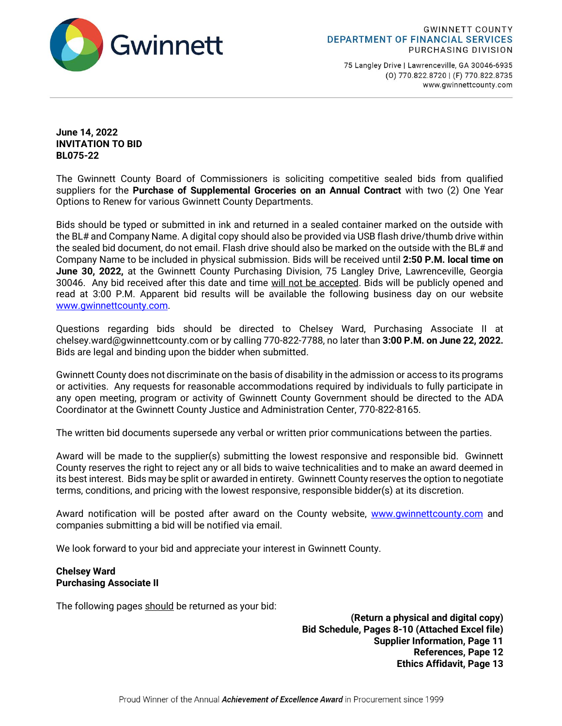

75 Langley Drive | Lawrenceville, GA 30046-6935 (0) 770.822.8720 | (F) 770.822.8735 www.gwinnettcounty.com

**June 14, 2022 INVITATION TO BID BL075-22**

The Gwinnett County Board of Commissioners is soliciting competitive sealed bids from qualified suppliers for the **Purchase of Supplemental Groceries on an Annual Contract** with two (2) One Year Options to Renew for various Gwinnett County Departments.

Bids should be typed or submitted in ink and returned in a sealed container marked on the outside with the BL# and Company Name. A digital copy should also be provided via USB flash drive/thumb drive within the sealed bid document, do not email. Flash drive should also be marked on the outside with the BL# and Company Name to be included in physical submission. Bids will be received until **2:50 P.M. local time on June 30, 2022,** at the Gwinnett County Purchasing Division, 75 Langley Drive, Lawrenceville, Georgia 30046. Any bid received after this date and time will not be accepted. Bids will be publicly opened and read at 3:00 P.M. Apparent bid results will be available the following business day on our website [www.gwinnettcounty.com.](http://www.gwinnettcounty.com/)

Questions regarding bids should be directed to Chelsey Ward, Purchasing Associate II at chelsey.ward@gwinnettcounty.com or by calling 770-822-7788, no later than **3:00 P.M. on June 22, 2022.** Bids are legal and binding upon the bidder when submitted.

Gwinnett County does not discriminate on the basis of disability in the admission or access to its programs or activities. Any requests for reasonable accommodations required by individuals to fully participate in any open meeting, program or activity of Gwinnett County Government should be directed to the ADA Coordinator at the Gwinnett County Justice and Administration Center, 770-822-8165.

The written bid documents supersede any verbal or written prior communications between the parties.

Award will be made to the supplier(s) submitting the lowest responsive and responsible bid. Gwinnett County reserves the right to reject any or all bids to waive technicalities and to make an award deemed in its best interest. Bids may be split or awarded in entirety. Gwinnett County reserves the option to negotiate terms, conditions, and pricing with the lowest responsive, responsible bidder(s) at its discretion.

Award notification will be posted after award on the County website, www.qwinnettcounty.com and companies submitting a bid will be notified via email.

We look forward to your bid and appreciate your interest in Gwinnett County.

## **Chelsey Ward Purchasing Associate II**

The following pages should be returned as your bid:

**(Return a physical and digital copy) Bid Schedule, Pages 8-10 (Attached Excel file) Supplier Information, Page 11 References, Pape 12 Ethics Affidavit, Page 13**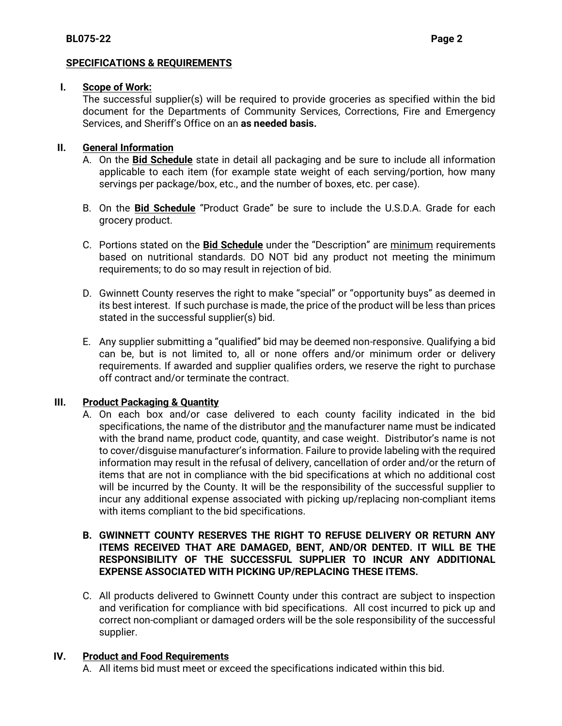# **SPECIFICATIONS & REQUIREMENTS**

# **I. Scope of Work:**

The successful supplier(s) will be required to provide groceries as specified within the bid document for the Departments of Community Services, Corrections, Fire and Emergency Services, and Sheriff's Office on an **as needed basis.** 

# **II. General Information**

- A. On the **Bid Schedule** state in detail all packaging and be sure to include all information applicable to each item (for example state weight of each serving/portion, how many servings per package/box, etc., and the number of boxes, etc. per case).
- B. On the **Bid Schedule** "Product Grade" be sure to include the U.S.D.A. Grade for each grocery product.
- C. Portions stated on the **Bid Schedule** under the "Description" are minimum requirements based on nutritional standards. DO NOT bid any product not meeting the minimum requirements; to do so may result in rejection of bid.
- D. Gwinnett County reserves the right to make "special" or "opportunity buys" as deemed in its best interest. If such purchase is made, the price of the product will be less than prices stated in the successful supplier(s) bid.
- E. Any supplier submitting a "qualified" bid may be deemed non-responsive. Qualifying a bid can be, but is not limited to, all or none offers and/or minimum order or delivery requirements. If awarded and supplier qualifies orders, we reserve the right to purchase off contract and/or terminate the contract.

# **III. Product Packaging & Quantity**

A. On each box and/or case delivered to each county facility indicated in the bid specifications, the name of the distributor and the manufacturer name must be indicated with the brand name, product code, quantity, and case weight. Distributor's name is not to cover/disguise manufacturer's information. Failure to provide labeling with the required information may result in the refusal of delivery, cancellation of order and/or the return of items that are not in compliance with the bid specifications at which no additional cost will be incurred by the County. It will be the responsibility of the successful supplier to incur any additional expense associated with picking up/replacing non-compliant items with items compliant to the bid specifications.

# **B. GWINNETT COUNTY RESERVES THE RIGHT TO REFUSE DELIVERY OR RETURN ANY ITEMS RECEIVED THAT ARE DAMAGED, BENT, AND/OR DENTED. IT WILL BE THE RESPONSIBILITY OF THE SUCCESSFUL SUPPLIER TO INCUR ANY ADDITIONAL EXPENSE ASSOCIATED WITH PICKING UP/REPLACING THESE ITEMS.**

C. All products delivered to Gwinnett County under this contract are subject to inspection and verification for compliance with bid specifications. All cost incurred to pick up and correct non-compliant or damaged orders will be the sole responsibility of the successful supplier.

# **IV. Product and Food Requirements**

A. All items bid must meet or exceed the specifications indicated within this bid.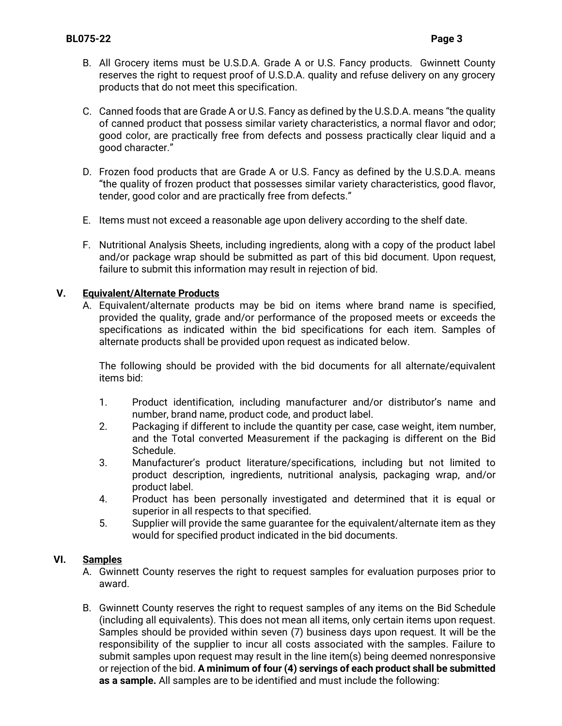- B. All Grocery items must be U.S.D.A. Grade A or U.S. Fancy products. Gwinnett County reserves the right to request proof of U.S.D.A. quality and refuse delivery on any grocery products that do not meet this specification.
- C. Canned foods that are Grade A or U.S. Fancy as defined by the U.S.D.A. means "the quality of canned product that possess similar variety characteristics, a normal flavor and odor; good color, are practically free from defects and possess practically clear liquid and a good character."
- D. Frozen food products that are Grade A or U.S. Fancy as defined by the U.S.D.A. means "the quality of frozen product that possesses similar variety characteristics, good flavor, tender, good color and are practically free from defects."
- E. Items must not exceed a reasonable age upon delivery according to the shelf date.
- F. Nutritional Analysis Sheets, including ingredients, along with a copy of the product label and/or package wrap should be submitted as part of this bid document. Upon request, failure to submit this information may result in rejection of bid.

# **V. Equivalent/Alternate Products**

A. Equivalent/alternate products may be bid on items where brand name is specified, provided the quality, grade and/or performance of the proposed meets or exceeds the specifications as indicated within the bid specifications for each item. Samples of alternate products shall be provided upon request as indicated below.

The following should be provided with the bid documents for all alternate/equivalent items bid:

- 1. Product identification, including manufacturer and/or distributor's name and number, brand name, product code, and product label.
- 2. Packaging if different to include the quantity per case, case weight, item number, and the Total converted Measurement if the packaging is different on the Bid Schedule.
- 3. Manufacturer's product literature/specifications, including but not limited to product description, ingredients, nutritional analysis, packaging wrap, and/or product label.
- 4. Product has been personally investigated and determined that it is equal or superior in all respects to that specified.
- 5. Supplier will provide the same guarantee for the equivalent/alternate item as they would for specified product indicated in the bid documents.

# **VI. Samples**

- A. Gwinnett County reserves the right to request samples for evaluation purposes prior to award.
- B. Gwinnett County reserves the right to request samples of any items on the Bid Schedule (including all equivalents). This does not mean all items, only certain items upon request. Samples should be provided within seven (7) business days upon request. It will be the responsibility of the supplier to incur all costs associated with the samples. Failure to submit samples upon request may result in the line item(s) being deemed nonresponsive or rejection of the bid. **A minimum of four (4) servings of each product shall be submitted as a sample.** All samples are to be identified and must include the following: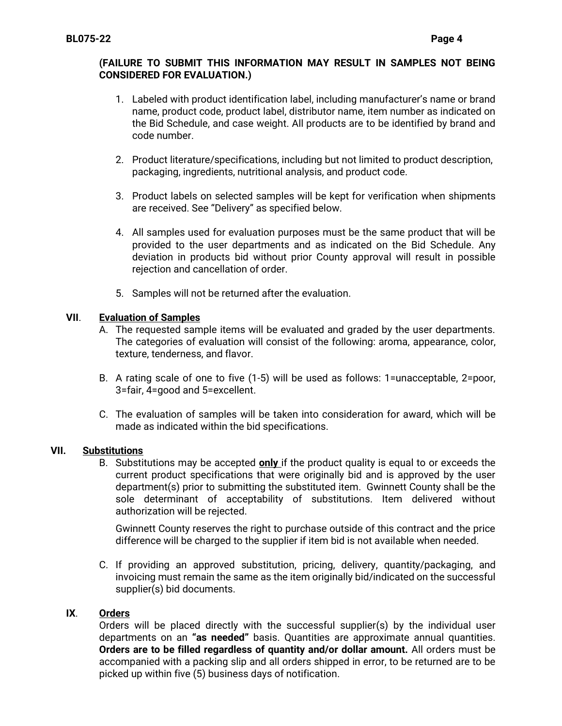# **(FAILURE TO SUBMIT THIS INFORMATION MAY RESULT IN SAMPLES NOT BEING CONSIDERED FOR EVALUATION.)**

- 1. Labeled with product identification label, including manufacturer's name or brand name, product code, product label, distributor name, item number as indicated on the Bid Schedule, and case weight. All products are to be identified by brand and code number.
- 2. Product literature/specifications, including but not limited to product description, packaging, ingredients, nutritional analysis, and product code.
- 3. Product labels on selected samples will be kept for verification when shipments are received. See "Delivery" as specified below.
- 4. All samples used for evaluation purposes must be the same product that will be provided to the user departments and as indicated on the Bid Schedule. Any deviation in products bid without prior County approval will result in possible rejection and cancellation of order.
- 5. Samples will not be returned after the evaluation.

# **VII**. **Evaluation of Samples**

- A. The requested sample items will be evaluated and graded by the user departments. The categories of evaluation will consist of the following: aroma, appearance, color, texture, tenderness, and flavor.
- B. A rating scale of one to five (1-5) will be used as follows: 1=unacceptable, 2=poor, 3=fair, 4=good and 5=excellent.
- C. The evaluation of samples will be taken into consideration for award, which will be made as indicated within the bid specifications.

# **VII. Substitutions**

B. Substitutions may be accepted **only** if the product quality is equal to or exceeds the current product specifications that were originally bid and is approved by the user department(s) prior to submitting the substituted item. Gwinnett County shall be the sole determinant of acceptability of substitutions. Item delivered without authorization will be rejected.

Gwinnett County reserves the right to purchase outside of this contract and the price difference will be charged to the supplier if item bid is not available when needed.

C. If providing an approved substitution, pricing, delivery, quantity/packaging, and invoicing must remain the same as the item originally bid/indicated on the successful supplier(s) bid documents.

# **IX**. **Orders**

Orders will be placed directly with the successful supplier(s) by the individual user departments on an **"as needed"** basis. Quantities are approximate annual quantities. **Orders are to be filled regardless of quantity and/or dollar amount.** All orders must be accompanied with a packing slip and all orders shipped in error, to be returned are to be picked up within five (5) business days of notification.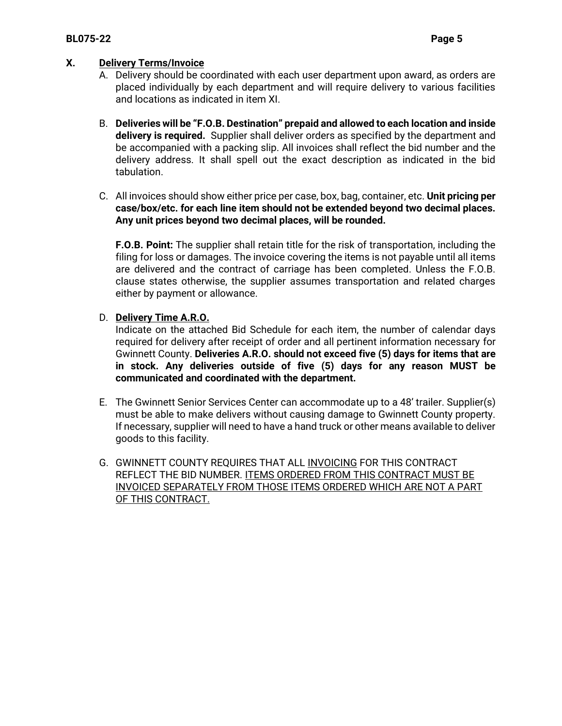# **X. Delivery Terms/Invoice**

- A. Delivery should be coordinated with each user department upon award, as orders are placed individually by each department and will require delivery to various facilities and locations as indicated in item XI.
- B. **Deliveries will be "F.O.B. Destination" prepaid and allowed to each location and inside delivery is required.** Supplier shall deliver orders as specified by the department and be accompanied with a packing slip. All invoices shall reflect the bid number and the delivery address. It shall spell out the exact description as indicated in the bid tabulation.
- C. All invoices should show either price per case, box, bag, container, etc. **Unit pricing per case/box/etc. for each line item should not be extended beyond two decimal places. Any unit prices beyond two decimal places, will be rounded.**

**F.O.B. Point:** The supplier shall retain title for the risk of transportation, including the filing for loss or damages. The invoice covering the items is not payable until all items are delivered and the contract of carriage has been completed. Unless the F.O.B. clause states otherwise, the supplier assumes transportation and related charges either by payment or allowance.

# D. **Delivery Time A.R.O.**

Indicate on the attached Bid Schedule for each item, the number of calendar days required for delivery after receipt of order and all pertinent information necessary for Gwinnett County. **Deliveries A.R.O. should not exceed five (5) days for items that are in stock. Any deliveries outside of five (5) days for any reason MUST be communicated and coordinated with the department.**

- E. The Gwinnett Senior Services Center can accommodate up to a 48' trailer. Supplier(s) must be able to make delivers without causing damage to Gwinnett County property. If necessary, supplier will need to have a hand truck or other means available to deliver goods to this facility.
- G. GWINNETT COUNTY REQUIRES THAT ALL INVOICING FOR THIS CONTRACT REFLECT THE BID NUMBER. ITEMS ORDERED FROM THIS CONTRACT MUST BE INVOICED SEPARATELY FROM THOSE ITEMS ORDERED WHICH ARE NOT A PART OF THIS CONTRACT.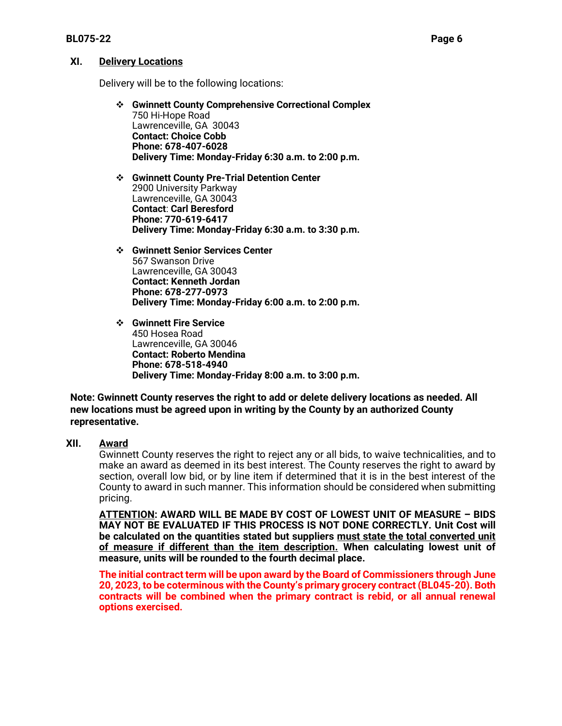# **XI. Delivery Locations**

Delivery will be to the following locations:

- ❖ **Gwinnett County Comprehensive Correctional Complex** 750 Hi-Hope Road Lawrenceville, GA 30043 **Contact: Choice Cobb Phone: 678-407-6028 Delivery Time: Monday-Friday 6:30 a.m. to 2:00 p.m.**
- ❖ **Gwinnett County Pre-Trial Detention Center** 2900 University Parkway Lawrenceville, GA 30043 **Contact**: **Carl Beresford Phone: 770-619-6417 Delivery Time: Monday-Friday 6:30 a.m. to 3:30 p.m.**
- ❖ **Gwinnett Senior Services Center** 567 Swanson Drive Lawrenceville, GA 30043 **Contact: Kenneth Jordan Phone: 678-277-0973 Delivery Time: Monday-Friday 6:00 a.m. to 2:00 p.m.**
- ❖ **Gwinnett Fire Service** 450 Hosea Road Lawrenceville, GA 30046 **Contact: Roberto Mendina Phone: 678-518-4940 Delivery Time: Monday-Friday 8:00 a.m. to 3:00 p.m.**

# **Note: Gwinnett County reserves the right to add or delete delivery locations as needed. All new locations must be agreed upon in writing by the County by an authorized County representative.**

# **XII. Award**

Gwinnett County reserves the right to reject any or all bids, to waive technicalities, and to make an award as deemed in its best interest. The County reserves the right to award by section, overall low bid, or by line item if determined that it is in the best interest of the County to award in such manner. This information should be considered when submitting pricing.

**ATTENTION: AWARD WILL BE MADE BY COST OF LOWEST UNIT OF MEASURE – BIDS MAY NOT BE EVALUATED IF THIS PROCESS IS NOT DONE CORRECTLY. Unit Cost will be calculated on the quantities stated but suppliers must state the total converted unit of measure if different than the item description. When calculating lowest unit of measure, units will be rounded to the fourth decimal place.**

**The initial contract term will be upon award by the Board of Commissioners through June 20, 2023, to be coterminous with the County's primary grocery contract (BL045-20). Both contracts will be combined when the primary contract is rebid, or all annual renewal options exercised.**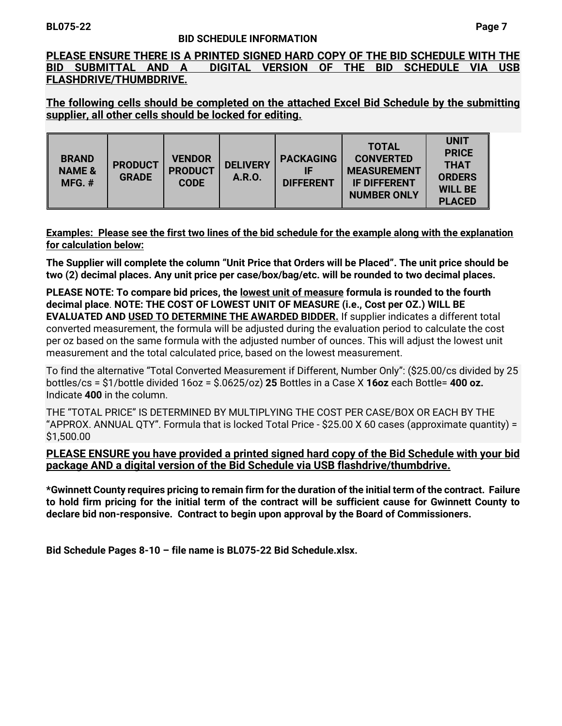# **BL075-22 Page 7**

## **BID SCHEDULE INFORMATION**

**PLEASE ENSURE THERE IS A PRINTED SIGNED HARD COPY OF THE BID SCHEDULE WITH THE BID SUBMITTAL AND A DIGITAL VERSION OF THE BID SCHEDULE VIA USB FLASHDRIVE/THUMBDRIVE.**

**The following cells should be completed on the attached Excel Bid Schedule by the submitting supplier, all other cells should be locked for editing.** 

| <b>BRAND</b><br><b>NAME &amp;</b><br>$MFG.$ # | <b>PRODUCT</b><br><b>GRADE</b> | <b>VENDOR</b><br><b>PRODUCT</b><br><b>CODE</b> | <b>DELIVERY</b><br>A.R.O. | <b>PACKAGING</b><br>IF<br><b>DIFFERENT</b> | <b>TOTAL</b><br><b>CONVERTED</b><br><b>MEASUREMENT</b><br><b>IF DIFFERENT</b><br><b>NUMBER ONLY</b> | <b>UNIT</b><br><b>PRICE</b><br><b>THAT</b><br><b>ORDERS</b><br><b>WILL BE</b><br><b>PLACED</b> |
|-----------------------------------------------|--------------------------------|------------------------------------------------|---------------------------|--------------------------------------------|-----------------------------------------------------------------------------------------------------|------------------------------------------------------------------------------------------------|
|-----------------------------------------------|--------------------------------|------------------------------------------------|---------------------------|--------------------------------------------|-----------------------------------------------------------------------------------------------------|------------------------------------------------------------------------------------------------|

**Examples: Please see the first two lines of the bid schedule for the example along with the explanation for calculation below:** 

**The Supplier will complete the column "Unit Price that Orders will be Placed". The unit price should be two (2) decimal places. Any unit price per case/box/bag/etc. will be rounded to two decimal places.**

**PLEASE NOTE: To compare bid prices, the lowest unit of measure formula is rounded to the fourth decimal place**. **NOTE: THE COST OF LOWEST UNIT OF MEASURE (i.e., Cost per OZ.) WILL BE EVALUATED AND USED TO DETERMINE THE AWARDED BIDDER.** If supplier indicates a different total converted measurement, the formula will be adjusted during the evaluation period to calculate the cost per oz based on the same formula with the adjusted number of ounces. This will adjust the lowest unit measurement and the total calculated price, based on the lowest measurement.

To find the alternative "Total Converted Measurement if Different, Number Only": (\$25.00/cs divided by 25 bottles/cs = \$1/bottle divided 16oz = \$.0625/oz) **25** Bottles in a Case X **16oz** each Bottle= **400 oz.** Indicate **400** in the column.

THE "TOTAL PRICE" IS DETERMINED BY MULTIPLYING THE COST PER CASE/BOX OR EACH BY THE "APPROX. ANNUAL QTY". Formula that is locked Total Price - \$25.00 X 60 cases (approximate quantity) = \$1,500.00

# **PLEASE ENSURE you have provided a printed signed hard copy of the Bid Schedule with your bid package AND a digital version of the Bid Schedule via USB flashdrive/thumbdrive.**

**\*Gwinnett County requires pricing to remain firm for the duration of the initial term of the contract. Failure to hold firm pricing for the initial term of the contract will be sufficient cause for Gwinnett County to declare bid non-responsive. Contract to begin upon approval by the Board of Commissioners.**

**Bid Schedule Pages 8-10 – file name is BL075-22 Bid Schedule.xlsx.**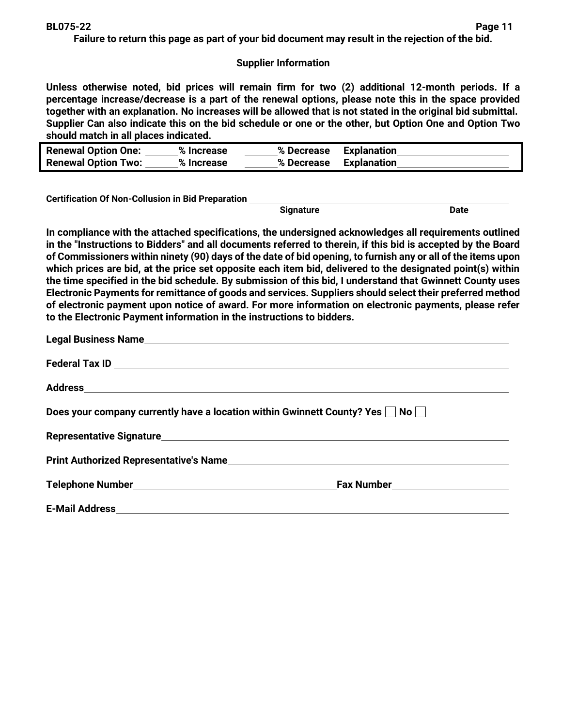**Failure to return this page as part of your bid document may result in the rejection of the bid.**

# **Supplier Information**

**Unless otherwise noted, bid prices will remain firm for two (2) additional 12-month periods. If a percentage increase/decrease is a part of the renewal options, please note this in the space provided together with an explanation. No increases will be allowed that is not stated in the original bid submittal. Supplier Can also indicate this on the bid schedule or one or the other, but Option One and Option Two should match in all places indicated.** 

| <b>Renewal Option One:</b> | % Increase | % Decrease | <b>Explanation</b> |
|----------------------------|------------|------------|--------------------|
| <b>Renewal Option Two:</b> | % Increase | % Decrease | <b>Explanation</b> |

**Certification Of Non-Collusion in Bid Preparation** 

**Signature Date of Science of Science of Science of Science of Science of Science of Science of Science of Science of Science of Science of Science of Science of Science of Science of Science of Science of Science of Scien** 

**In compliance with the attached specifications, the undersigned acknowledges all requirements outlined in the "Instructions to Bidders" and all documents referred to therein, if this bid is accepted by the Board of Commissioners within ninety (90) days of the date of bid opening, to furnish any or all of the items upon which prices are bid, at the price set opposite each item bid, delivered to the designated point(s) within the time specified in the bid schedule. By submission of this bid, I understand that Gwinnett County uses Electronic Payments for remittance of goods and services. Suppliers should select their preferred method of electronic payment upon notice of award. For more information on electronic payments, please refer to the Electronic Payment information in the instructions to bidders.**

| Does your company currently have a location within Gwinnett County? Yes $\Box$ No $\Box$ |  |  |
|------------------------------------------------------------------------------------------|--|--|
|                                                                                          |  |  |
|                                                                                          |  |  |
|                                                                                          |  |  |
|                                                                                          |  |  |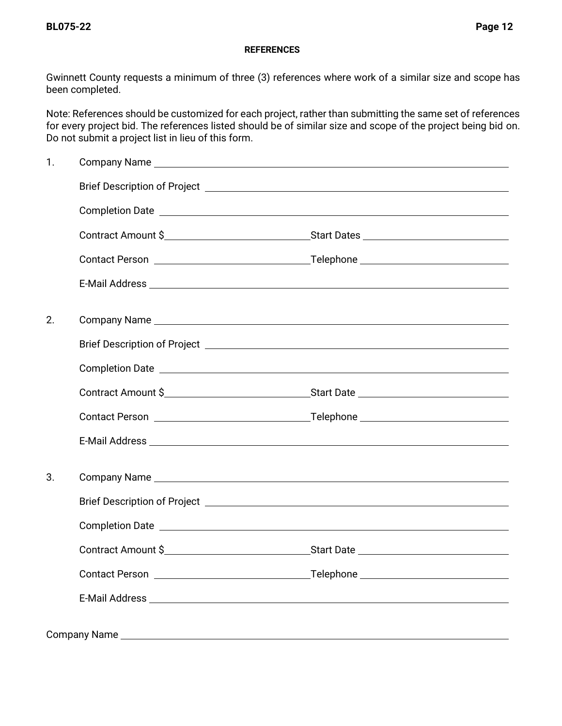## **REFERENCES**

Gwinnett County requests a minimum of three (3) references where work of a similar size and scope has been completed.

Note: References should be customized for each project, rather than submitting the same set of references for every project bid. The references listed should be of similar size and scope of the project being bid on. Do not submit a project list in lieu of this form.

| 1. |                                      |  |
|----|--------------------------------------|--|
|    |                                      |  |
|    |                                      |  |
|    |                                      |  |
|    |                                      |  |
|    |                                      |  |
| 2. |                                      |  |
|    |                                      |  |
|    |                                      |  |
|    | Contract Amount \$                   |  |
|    |                                      |  |
|    |                                      |  |
| 3. |                                      |  |
|    |                                      |  |
|    |                                      |  |
|    |                                      |  |
|    | Contact Person <b>Contact Person</b> |  |
|    |                                      |  |
|    |                                      |  |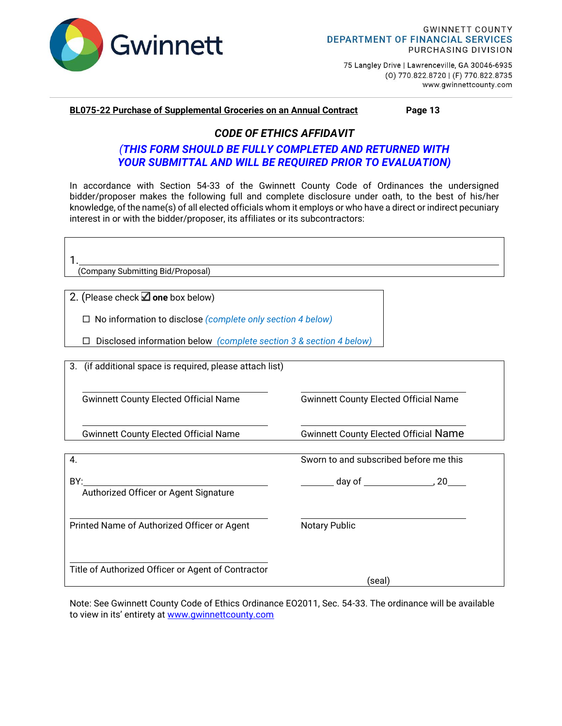

75 Langley Drive | Lawrenceville, GA 30046-6935 (0) 770.822.8720 | (F) 770.822.8735 www.gwinnettcounty.com

#### **BL075-22 Purchase of Supplemental Groceries on an Annual Contract Page 13**

# *CODE OF ETHICS AFFIDAVIT*

# *(THIS FORM SHOULD BE FULLY COMPLETED AND RETURNED WITH YOUR SUBMITTAL AND WILL BE REQUIRED PRIOR TO EVALUATION)*

In accordance with Section 54-33 of the Gwinnett County Code of Ordinances the undersigned bidder/proposer makes the following full and complete disclosure under oath, to the best of his/her knowledge, of the name(s) of all elected officials whom it employs or who have a direct or indirect pecuniary interest in or with the bidder/proposer, its affiliates or its subcontractors:

| (Company Submitting Bid/Proposal)                                  |                                              |  |  |  |
|--------------------------------------------------------------------|----------------------------------------------|--|--|--|
|                                                                    |                                              |  |  |  |
| 2. (Please check $\Box$ one box below)                             |                                              |  |  |  |
| $\Box$ No information to disclose (complete only section 4 below)  |                                              |  |  |  |
| Disclosed information below (complete section 3 & section 4 below) |                                              |  |  |  |
| 3. (if additional space is required, please attach list)           |                                              |  |  |  |
|                                                                    |                                              |  |  |  |
| <b>Gwinnett County Elected Official Name</b>                       | <b>Gwinnett County Elected Official Name</b> |  |  |  |
| <b>Gwinnett County Elected Official Name</b>                       | <b>Gwinnett County Elected Official Name</b> |  |  |  |
| 4.                                                                 | Sworn to and subscribed before me this       |  |  |  |
| BY:<br>Authorized Officer or Agent Signature                       |                                              |  |  |  |
|                                                                    |                                              |  |  |  |
| Printed Name of Authorized Officer or Agent                        | Notary Public                                |  |  |  |
| Title of Authorized Officer or Agent of Contractor                 | (seal)                                       |  |  |  |

Note: See Gwinnett County Code of Ethics Ordinance EO2011, Sec. 54-33. The ordinance will be available to view in its' entirety at [www.gwinnettcounty.com](http://www.gwinnettcounty.com/)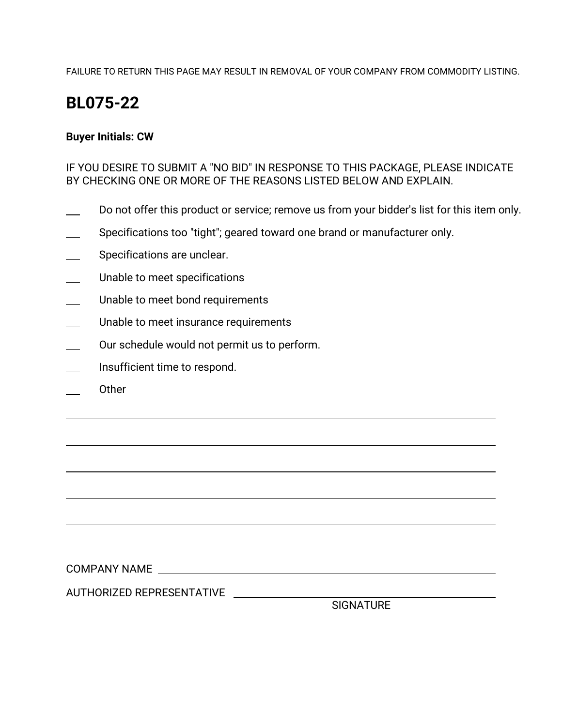FAILURE TO RETURN THIS PAGE MAY RESULT IN REMOVAL OF YOUR COMPANY FROM COMMODITY LISTING.

# **BL075-22**

# **Buyer Initials: CW**

IF YOU DESIRE TO SUBMIT A "NO BID" IN RESPONSE TO THIS PACKAGE, PLEASE INDICATE BY CHECKING ONE OR MORE OF THE REASONS LISTED BELOW AND EXPLAIN.

- Do not offer this product or service; remove us from your bidder's list for this item only.
- Specifications too "tight"; geared toward one brand or manufacturer only.
- Specifications are unclear.
- Unable to meet specifications
- Unable to meet bond requirements
- Unable to meet insurance requirements
- Our schedule would not permit us to perform.
- Insufficient time to respond.
- Other

COMPANY NAME

AUTHORIZED REPRESENTATIVE

**SIGNATURE**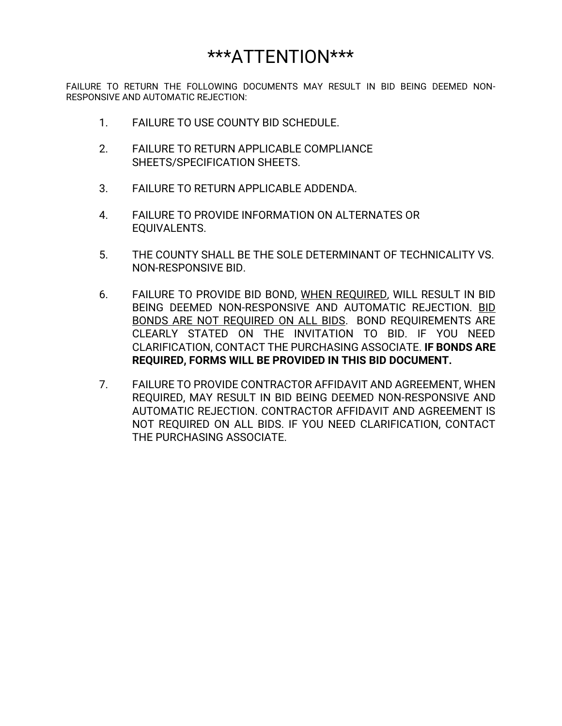# \*\*\*ATTENTION\*\*\*

FAILURE TO RETURN THE FOLLOWING DOCUMENTS MAY RESULT IN BID BEING DEEMED NON-RESPONSIVE AND AUTOMATIC REJECTION:

- 1. FAILURE TO USE COUNTY BID SCHEDULE.
- 2. FAILURE TO RETURN APPLICABLE COMPLIANCE SHEETS/SPECIFICATION SHEETS.
- 3. FAILURE TO RETURN APPLICABLE ADDENDA.
- 4. FAILURE TO PROVIDE INFORMATION ON ALTERNATES OR EQUIVALENTS.
- 5. THE COUNTY SHALL BE THE SOLE DETERMINANT OF TECHNICALITY VS. NON-RESPONSIVE BID.
- 6. FAILURE TO PROVIDE BID BOND, WHEN REQUIRED, WILL RESULT IN BID BEING DEEMED NON-RESPONSIVE AND AUTOMATIC REJECTION. BID BONDS ARE NOT REQUIRED ON ALL BIDS. BOND REQUIREMENTS ARE CLEARLY STATED ON THE INVITATION TO BID. IF YOU NEED CLARIFICATION, CONTACT THE PURCHASING ASSOCIATE. **IF BONDS ARE REQUIRED, FORMS WILL BE PROVIDED IN THIS BID DOCUMENT.**
- 7. FAILURE TO PROVIDE CONTRACTOR AFFIDAVIT AND AGREEMENT, WHEN REQUIRED, MAY RESULT IN BID BEING DEEMED NON-RESPONSIVE AND AUTOMATIC REJECTION. CONTRACTOR AFFIDAVIT AND AGREEMENT IS NOT REQUIRED ON ALL BIDS. IF YOU NEED CLARIFICATION, CONTACT THE PURCHASING ASSOCIATE.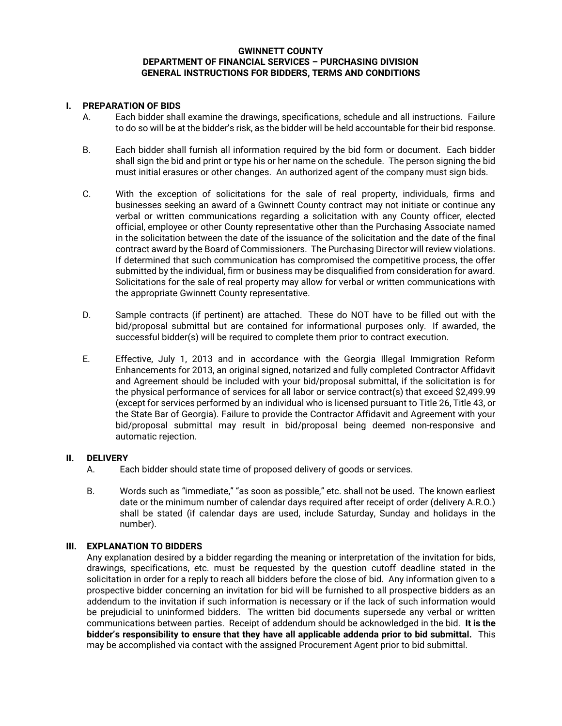#### **GWINNETT COUNTY DEPARTMENT OF FINANCIAL SERVICES – PURCHASING DIVISION GENERAL INSTRUCTIONS FOR BIDDERS, TERMS AND CONDITIONS**

#### **I. PREPARATION OF BIDS**

- A. Each bidder shall examine the drawings, specifications, schedule and all instructions. Failure to do so will be at the bidder's risk, as the bidder will be held accountable for their bid response.
- B. Each bidder shall furnish all information required by the bid form or document. Each bidder shall sign the bid and print or type his or her name on the schedule. The person signing the bid must initial erasures or other changes. An authorized agent of the company must sign bids.
- C. With the exception of solicitations for the sale of real property, individuals, firms and businesses seeking an award of a Gwinnett County contract may not initiate or continue any verbal or written communications regarding a solicitation with any County officer, elected official, employee or other County representative other than the Purchasing Associate named in the solicitation between the date of the issuance of the solicitation and the date of the final contract award by the Board of Commissioners. The Purchasing Director will review violations. If determined that such communication has compromised the competitive process, the offer submitted by the individual, firm or business may be disqualified from consideration for award. Solicitations for the sale of real property may allow for verbal or written communications with the appropriate Gwinnett County representative.
- D. Sample contracts (if pertinent) are attached. These do NOT have to be filled out with the bid/proposal submittal but are contained for informational purposes only. If awarded, the successful bidder(s) will be required to complete them prior to contract execution.
- E. Effective, July 1, 2013 and in accordance with the Georgia Illegal Immigration Reform Enhancements for 2013, an original signed, notarized and fully completed Contractor Affidavit and Agreement should be included with your bid/proposal submittal, if the solicitation is for the physical performance of services for all labor or service contract(s) that exceed \$2,499.99 (except for services performed by an individual who is licensed pursuant to Title 26, Title 43, or the State Bar of Georgia). Failure to provide the Contractor Affidavit and Agreement with your bid/proposal submittal may result in bid/proposal being deemed non-responsive and automatic rejection.

#### **II. DELIVERY**

- A. Each bidder should state time of proposed delivery of goods or services.
- B. Words such as "immediate," "as soon as possible," etc. shall not be used. The known earliest date or the minimum number of calendar days required after receipt of order (delivery A.R.O.) shall be stated (if calendar days are used, include Saturday, Sunday and holidays in the number).

#### **III. EXPLANATION TO BIDDERS**

Any explanation desired by a bidder regarding the meaning or interpretation of the invitation for bids, drawings, specifications, etc. must be requested by the question cutoff deadline stated in the solicitation in order for a reply to reach all bidders before the close of bid. Any information given to a prospective bidder concerning an invitation for bid will be furnished to all prospective bidders as an addendum to the invitation if such information is necessary or if the lack of such information would be prejudicial to uninformed bidders. The written bid documents supersede any verbal or written communications between parties. Receipt of addendum should be acknowledged in the bid. **It is the bidder's responsibility to ensure that they have all applicable addenda prior to bid submittal.** This may be accomplished via contact with the assigned Procurement Agent prior to bid submittal.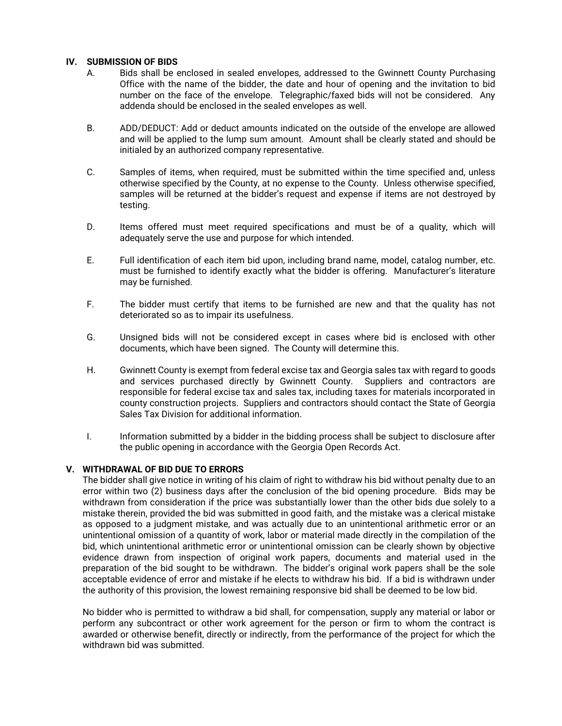#### **IV. SUBMISSION OF BIDS**

- A. Bids shall be enclosed in sealed envelopes, addressed to the Gwinnett County Purchasing Office with the name of the bidder, the date and hour of opening and the invitation to bid number on the face of the envelope. Telegraphic/faxed bids will not be considered. Any addenda should be enclosed in the sealed envelopes as well.
- B. ADD/DEDUCT: Add or deduct amounts indicated on the outside of the envelope are allowed and will be applied to the lump sum amount. Amount shall be clearly stated and should be initialed by an authorized company representative.
- C. Samples of items, when required, must be submitted within the time specified and, unless otherwise specified by the County, at no expense to the County. Unless otherwise specified, samples will be returned at the bidder's request and expense if items are not destroyed by testing.
- D. Items offered must meet required specifications and must be of a quality, which will adequately serve the use and purpose for which intended.
- E. Full identification of each item bid upon, including brand name, model, catalog number, etc. must be furnished to identify exactly what the bidder is offering. Manufacturer's literature may be furnished.
- F. The bidder must certify that items to be furnished are new and that the quality has not deteriorated so as to impair its usefulness.
- G. Unsigned bids will not be considered except in cases where bid is enclosed with other documents, which have been signed. The County will determine this.
- H. Gwinnett County is exempt from federal excise tax and Georgia sales tax with regard to goods and services purchased directly by Gwinnett County. Suppliers and contractors are responsible for federal excise tax and sales tax, including taxes for materials incorporated in county construction projects. Suppliers and contractors should contact the State of Georgia Sales Tax Division for additional information.
- I. Information submitted by a bidder in the bidding process shall be subject to disclosure after the public opening in accordance with the Georgia Open Records Act.

#### **V. WITHDRAWAL OF BID DUE TO ERRORS**

The bidder shall give notice in writing of his claim of right to withdraw his bid without penalty due to an error within two (2) business days after the conclusion of the bid opening procedure. Bids may be withdrawn from consideration if the price was substantially lower than the other bids due solely to a mistake therein, provided the bid was submitted in good faith, and the mistake was a clerical mistake as opposed to a judgment mistake, and was actually due to an unintentional arithmetic error or an unintentional omission of a quantity of work, labor or material made directly in the compilation of the bid, which unintentional arithmetic error or unintentional omission can be clearly shown by objective evidence drawn from inspection of original work papers, documents and material used in the preparation of the bid sought to be withdrawn. The bidder's original work papers shall be the sole acceptable evidence of error and mistake if he elects to withdraw his bid. If a bid is withdrawn under the authority of this provision, the lowest remaining responsive bid shall be deemed to be low bid.

No bidder who is permitted to withdraw a bid shall, for compensation, supply any material or labor or perform any subcontract or other work agreement for the person or firm to whom the contract is awarded or otherwise benefit, directly or indirectly, from the performance of the project for which the withdrawn bid was submitted.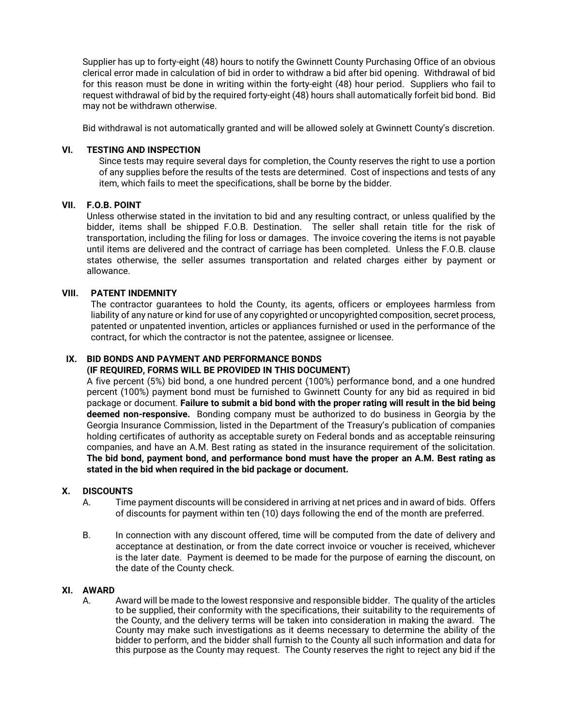Supplier has up to forty-eight (48) hours to notify the Gwinnett County Purchasing Office of an obvious clerical error made in calculation of bid in order to withdraw a bid after bid opening. Withdrawal of bid for this reason must be done in writing within the forty-eight (48) hour period. Suppliers who fail to request withdrawal of bid by the required forty-eight (48) hours shall automatically forfeit bid bond. Bid may not be withdrawn otherwise.

Bid withdrawal is not automatically granted and will be allowed solely at Gwinnett County's discretion.

#### **VI. TESTING AND INSPECTION**

Since tests may require several days for completion, the County reserves the right to use a portion of any supplies before the results of the tests are determined. Cost of inspections and tests of any item, which fails to meet the specifications, shall be borne by the bidder.

#### **VII. F.O.B. POINT**

Unless otherwise stated in the invitation to bid and any resulting contract, or unless qualified by the bidder, items shall be shipped F.O.B. Destination. The seller shall retain title for the risk of transportation, including the filing for loss or damages. The invoice covering the items is not payable until items are delivered and the contract of carriage has been completed. Unless the F.O.B. clause states otherwise, the seller assumes transportation and related charges either by payment or allowance.

#### **VIII. PATENT INDEMNITY**

The contractor guarantees to hold the County, its agents, officers or employees harmless from liability of any nature or kind for use of any copyrighted or uncopyrighted composition, secret process, patented or unpatented invention, articles or appliances furnished or used in the performance of the contract, for which the contractor is not the patentee, assignee or licensee.

## **IX. BID BONDS AND PAYMENT AND PERFORMANCE BONDS**

## **(IF REQUIRED, FORMS WILL BE PROVIDED IN THIS DOCUMENT)**

A five percent (5%) bid bond, a one hundred percent (100%) performance bond, and a one hundred percent (100%) payment bond must be furnished to Gwinnett County for any bid as required in bid package or document. **Failure to submit a bid bond with the proper rating will result in the bid being deemed non-responsive.** Bonding company must be authorized to do business in Georgia by the Georgia Insurance Commission, listed in the Department of the Treasury's publication of companies holding certificates of authority as acceptable surety on Federal bonds and as acceptable reinsuring companies, and have an A.M. Best rating as stated in the insurance requirement of the solicitation. **The bid bond, payment bond, and performance bond must have the proper an A.M. Best rating as stated in the bid when required in the bid package or document.** 

#### **X. DISCOUNTS**

- A. Time payment discounts will be considered in arriving at net prices and in award of bids. Offers of discounts for payment within ten (10) days following the end of the month are preferred.
- B. In connection with any discount offered, time will be computed from the date of delivery and acceptance at destination, or from the date correct invoice or voucher is received, whichever is the later date. Payment is deemed to be made for the purpose of earning the discount, on the date of the County check.

#### **XI. AWARD**

A. Award will be made to the lowest responsive and responsible bidder. The quality of the articles to be supplied, their conformity with the specifications, their suitability to the requirements of the County, and the delivery terms will be taken into consideration in making the award. The County may make such investigations as it deems necessary to determine the ability of the bidder to perform, and the bidder shall furnish to the County all such information and data for this purpose as the County may request. The County reserves the right to reject any bid if the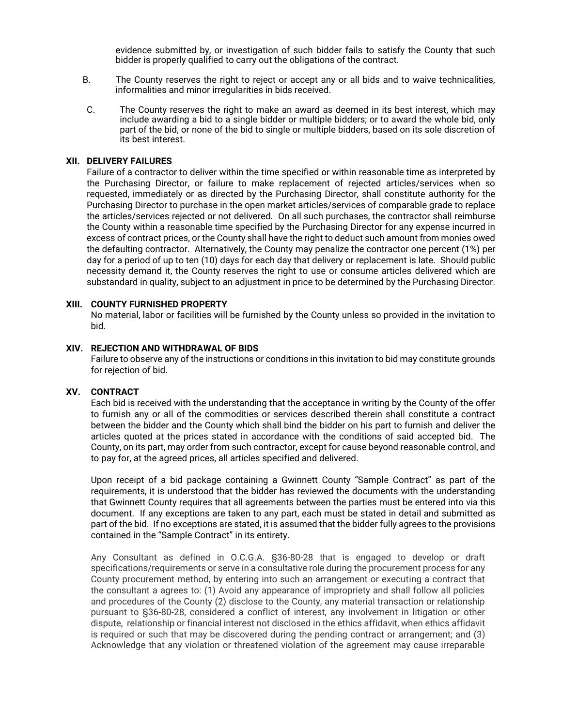evidence submitted by, or investigation of such bidder fails to satisfy the County that such bidder is properly qualified to carry out the obligations of the contract.

- B. The County reserves the right to reject or accept any or all bids and to waive technicalities, informalities and minor irregularities in bids received.
- C. The County reserves the right to make an award as deemed in its best interest, which may include awarding a bid to a single bidder or multiple bidders; or to award the whole bid, only part of the bid, or none of the bid to single or multiple bidders, based on its sole discretion of its best interest.

#### **XII. DELIVERY FAILURES**

Failure of a contractor to deliver within the time specified or within reasonable time as interpreted by the Purchasing Director, or failure to make replacement of rejected articles/services when so requested, immediately or as directed by the Purchasing Director, shall constitute authority for the Purchasing Director to purchase in the open market articles/services of comparable grade to replace the articles/services rejected or not delivered. On all such purchases, the contractor shall reimburse the County within a reasonable time specified by the Purchasing Director for any expense incurred in excess of contract prices, or the County shall have the right to deduct such amount from monies owed the defaulting contractor. Alternatively, the County may penalize the contractor one percent (1%) per day for a period of up to ten (10) days for each day that delivery or replacement is late. Should public necessity demand it, the County reserves the right to use or consume articles delivered which are substandard in quality, subject to an adjustment in price to be determined by the Purchasing Director.

#### **XIII. COUNTY FURNISHED PROPERTY**

No material, labor or facilities will be furnished by the County unless so provided in the invitation to bid.

#### **XIV. REJECTION AND WITHDRAWAL OF BIDS**

Failure to observe any of the instructions or conditions in this invitation to bid may constitute grounds for rejection of bid.

#### **XV. CONTRACT**

Each bid is received with the understanding that the acceptance in writing by the County of the offer to furnish any or all of the commodities or services described therein shall constitute a contract between the bidder and the County which shall bind the bidder on his part to furnish and deliver the articles quoted at the prices stated in accordance with the conditions of said accepted bid. The County, on its part, may order from such contractor, except for cause beyond reasonable control, and to pay for, at the agreed prices, all articles specified and delivered.

Upon receipt of a bid package containing a Gwinnett County "Sample Contract" as part of the requirements, it is understood that the bidder has reviewed the documents with the understanding that Gwinnett County requires that all agreements between the parties must be entered into via this document. If any exceptions are taken to any part, each must be stated in detail and submitted as part of the bid. If no exceptions are stated, it is assumed that the bidder fully agrees to the provisions contained in the "Sample Contract" in its entirety.

Any Consultant as defined in O.C.G.A. §36-80-28 that is engaged to develop or draft specifications/requirements or serve in a consultative role during the procurement process for any County procurement method, by entering into such an arrangement or executing a contract that the consultant a agrees to: (1) Avoid any appearance of impropriety and shall follow all policies and procedures of the County (2) disclose to the County, any material transaction or relationship pursuant to §36-80-28, considered a conflict of interest, any involvement in litigation or other dispute, relationship or financial interest not disclosed in the ethics affidavit, when ethics affidavit is required or such that may be discovered during the pending contract or arrangement; and (3) Acknowledge that any violation or threatened violation of the agreement may cause irreparable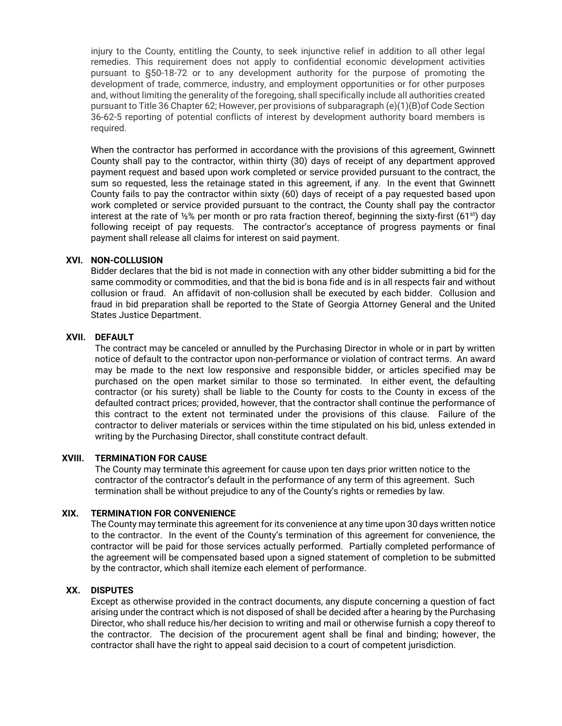injury to the County, entitling the County, to seek injunctive relief in addition to all other legal remedies. This requirement does not apply to confidential economic development activities pursuant to §50-18-72 or to any development authority for the purpose of promoting the development of trade, commerce, industry, and employment opportunities or for other purposes and, without limiting the generality of the foregoing, shall specifically include all authorities created pursuant to Title 36 Chapter 62; However, per provisions of subparagraph (e)(1)(B)of Code Section 36-62-5 reporting of potential conflicts of interest by development authority board members is required.

When the contractor has performed in accordance with the provisions of this agreement, Gwinnett County shall pay to the contractor, within thirty (30) days of receipt of any department approved payment request and based upon work completed or service provided pursuant to the contract, the sum so requested, less the retainage stated in this agreement, if any. In the event that Gwinnett County fails to pay the contractor within sixty (60) days of receipt of a pay requested based upon work completed or service provided pursuant to the contract, the County shall pay the contractor interest at the rate of 1/2% per month or pro rata fraction thereof, beginning the sixty-first (61<sup>st</sup>) day following receipt of pay requests. The contractor's acceptance of progress payments or final payment shall release all claims for interest on said payment.

#### **XVI. NON-COLLUSION**

Bidder declares that the bid is not made in connection with any other bidder submitting a bid for the same commodity or commodities, and that the bid is bona fide and is in all respects fair and without collusion or fraud. An affidavit of non-collusion shall be executed by each bidder. Collusion and fraud in bid preparation shall be reported to the State of Georgia Attorney General and the United States Justice Department.

#### **XVII. DEFAULT**

The contract may be canceled or annulled by the Purchasing Director in whole or in part by written notice of default to the contractor upon non-performance or violation of contract terms. An award may be made to the next low responsive and responsible bidder, or articles specified may be purchased on the open market similar to those so terminated. In either event, the defaulting contractor (or his surety) shall be liable to the County for costs to the County in excess of the defaulted contract prices; provided, however, that the contractor shall continue the performance of this contract to the extent not terminated under the provisions of this clause. Failure of the contractor to deliver materials or services within the time stipulated on his bid, unless extended in writing by the Purchasing Director, shall constitute contract default.

#### **XVIII. TERMINATION FOR CAUSE**

The County may terminate this agreement for cause upon ten days prior written notice to the contractor of the contractor's default in the performance of any term of this agreement. Such termination shall be without prejudice to any of the County's rights or remedies by law.

#### **XIX. TERMINATION FOR CONVENIENCE**

The County may terminate this agreement for its convenience at any time upon 30 days written notice to the contractor. In the event of the County's termination of this agreement for convenience, the contractor will be paid for those services actually performed. Partially completed performance of the agreement will be compensated based upon a signed statement of completion to be submitted by the contractor, which shall itemize each element of performance.

#### **XX. DISPUTES**

Except as otherwise provided in the contract documents, any dispute concerning a question of fact arising under the contract which is not disposed of shall be decided after a hearing by the Purchasing Director, who shall reduce his/her decision to writing and mail or otherwise furnish a copy thereof to the contractor. The decision of the procurement agent shall be final and binding; however, the contractor shall have the right to appeal said decision to a court of competent jurisdiction.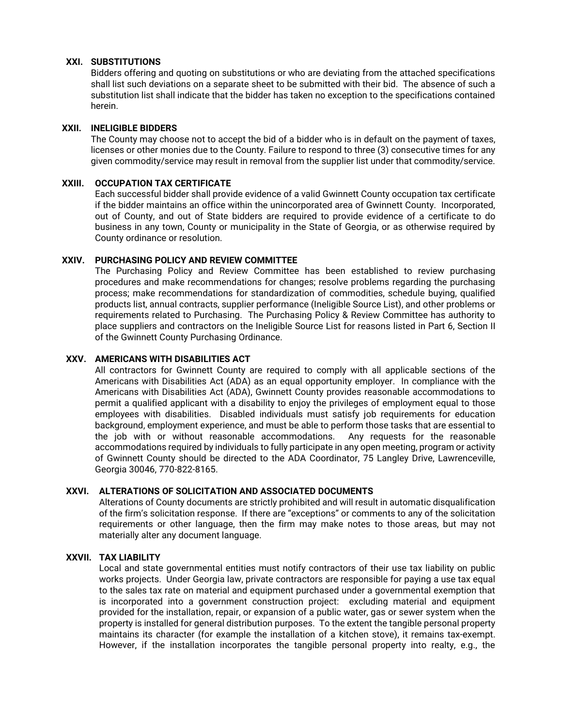#### **XXI. SUBSTITUTIONS**

Bidders offering and quoting on substitutions or who are deviating from the attached specifications shall list such deviations on a separate sheet to be submitted with their bid. The absence of such a substitution list shall indicate that the bidder has taken no exception to the specifications contained herein.

#### **XXII. INELIGIBLE BIDDERS**

The County may choose not to accept the bid of a bidder who is in default on the payment of taxes, licenses or other monies due to the County. Failure to respond to three (3) consecutive times for any given commodity/service may result in removal from the supplier list under that commodity/service.

#### **XXIII. OCCUPATION TAX CERTIFICATE**

Each successful bidder shall provide evidence of a valid Gwinnett County occupation tax certificate if the bidder maintains an office within the unincorporated area of Gwinnett County. Incorporated, out of County, and out of State bidders are required to provide evidence of a certificate to do business in any town, County or municipality in the State of Georgia, or as otherwise required by County ordinance or resolution.

#### **XXIV. PURCHASING POLICY AND REVIEW COMMITTEE**

The Purchasing Policy and Review Committee has been established to review purchasing procedures and make recommendations for changes; resolve problems regarding the purchasing process; make recommendations for standardization of commodities, schedule buying, qualified products list, annual contracts, supplier performance (Ineligible Source List), and other problems or requirements related to Purchasing. The Purchasing Policy & Review Committee has authority to place suppliers and contractors on the Ineligible Source List for reasons listed in Part 6, Section II of the Gwinnett County Purchasing Ordinance.

#### **XXV. AMERICANS WITH DISABILITIES ACT**

All contractors for Gwinnett County are required to comply with all applicable sections of the Americans with Disabilities Act (ADA) as an equal opportunity employer. In compliance with the Americans with Disabilities Act (ADA), Gwinnett County provides reasonable accommodations to permit a qualified applicant with a disability to enjoy the privileges of employment equal to those employees with disabilities. Disabled individuals must satisfy job requirements for education background, employment experience, and must be able to perform those tasks that are essential to the job with or without reasonable accommodations. Any requests for the reasonable accommodations required by individuals to fully participate in any open meeting, program or activity of Gwinnett County should be directed to the ADA Coordinator, 75 Langley Drive, Lawrenceville, Georgia 30046, 770-822-8165.

### **XXVI. ALTERATIONS OF SOLICITATION AND ASSOCIATED DOCUMENTS**

Alterations of County documents are strictly prohibited and will result in automatic disqualification of the firm's solicitation response. If there are "exceptions" or comments to any of the solicitation requirements or other language, then the firm may make notes to those areas, but may not materially alter any document language.

#### **XXVII. TAX LIABILITY**

Local and state governmental entities must notify contractors of their use tax liability on public works projects. Under Georgia law, private contractors are responsible for paying a use tax equal to the sales tax rate on material and equipment purchased under a governmental exemption that is incorporated into a government construction project: excluding material and equipment provided for the installation, repair, or expansion of a public water, gas or sewer system when the property is installed for general distribution purposes. To the extent the tangible personal property maintains its character (for example the installation of a kitchen stove), it remains tax-exempt. However, if the installation incorporates the tangible personal property into realty, e.g., the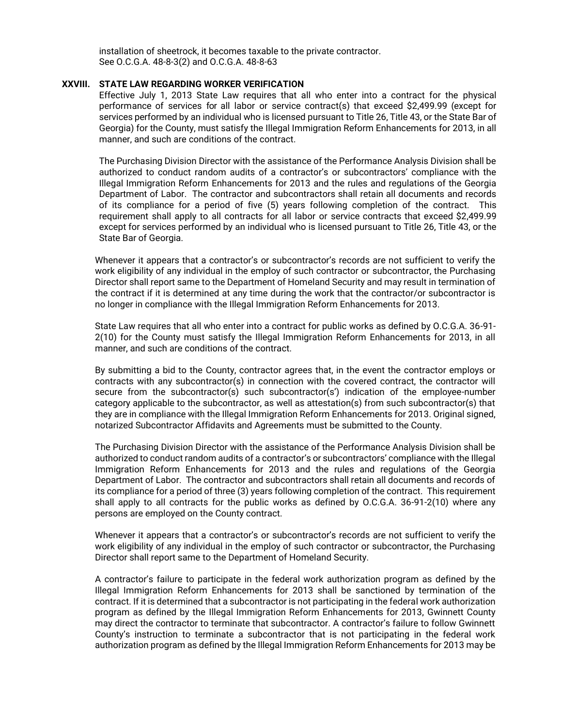installation of sheetrock, it becomes taxable to the private contractor. See O.C.G.A. 48-8-3(2) and O.C.G.A. 48-8-63

#### **XXVIII. STATE LAW REGARDING WORKER VERIFICATION**

Effective July 1, 2013 State Law requires that all who enter into a contract for the physical performance of services for all labor or service contract(s) that exceed \$2,499.99 (except for services performed by an individual who is licensed pursuant to Title 26, Title 43, or the State Bar of Georgia) for the County, must satisfy the Illegal Immigration Reform Enhancements for 2013, in all manner, and such are conditions of the contract.

The Purchasing Division Director with the assistance of the Performance Analysis Division shall be authorized to conduct random audits of a contractor's or subcontractors' compliance with the Illegal Immigration Reform Enhancements for 2013 and the rules and regulations of the Georgia Department of Labor. The contractor and subcontractors shall retain all documents and records of its compliance for a period of five (5) years following completion of the contract. This requirement shall apply to all contracts for all labor or service contracts that exceed \$2,499.99 except for services performed by an individual who is licensed pursuant to Title 26, Title 43, or the State Bar of Georgia.

Whenever it appears that a contractor's or subcontractor's records are not sufficient to verify the work eligibility of any individual in the employ of such contractor or subcontractor, the Purchasing Director shall report same to the Department of Homeland Security and may result in termination of the contract if it is determined at any time during the work that the contractor/or subcontractor is no longer in compliance with the Illegal Immigration Reform Enhancements for 2013.

State Law requires that all who enter into a contract for public works as defined by O.C.G.A. 36-91- 2(10) for the County must satisfy the Illegal Immigration Reform Enhancements for 2013, in all manner, and such are conditions of the contract.

By submitting a bid to the County, contractor agrees that, in the event the contractor employs or contracts with any subcontractor(s) in connection with the covered contract, the contractor will secure from the subcontractor(s) such subcontractor(s') indication of the employee-number category applicable to the subcontractor, as well as attestation(s) from such subcontractor(s) that they are in compliance with the Illegal Immigration Reform Enhancements for 2013. Original signed, notarized Subcontractor Affidavits and Agreements must be submitted to the County.

The Purchasing Division Director with the assistance of the Performance Analysis Division shall be authorized to conduct random audits of a contractor's or subcontractors' compliance with the Illegal Immigration Reform Enhancements for 2013 and the rules and regulations of the Georgia Department of Labor. The contractor and subcontractors shall retain all documents and records of its compliance for a period of three (3) years following completion of the contract. This requirement shall apply to all contracts for the public works as defined by O.C.G.A. 36-91-2(10) where any persons are employed on the County contract.

Whenever it appears that a contractor's or subcontractor's records are not sufficient to verify the work eligibility of any individual in the employ of such contractor or subcontractor, the Purchasing Director shall report same to the Department of Homeland Security.

A contractor's failure to participate in the federal work authorization program as defined by the Illegal Immigration Reform Enhancements for 2013 shall be sanctioned by termination of the contract. If it is determined that a subcontractor is not participating in the federal work authorization program as defined by the Illegal Immigration Reform Enhancements for 2013, Gwinnett County may direct the contractor to terminate that subcontractor. A contractor's failure to follow Gwinnett County's instruction to terminate a subcontractor that is not participating in the federal work authorization program as defined by the Illegal Immigration Reform Enhancements for 2013 may be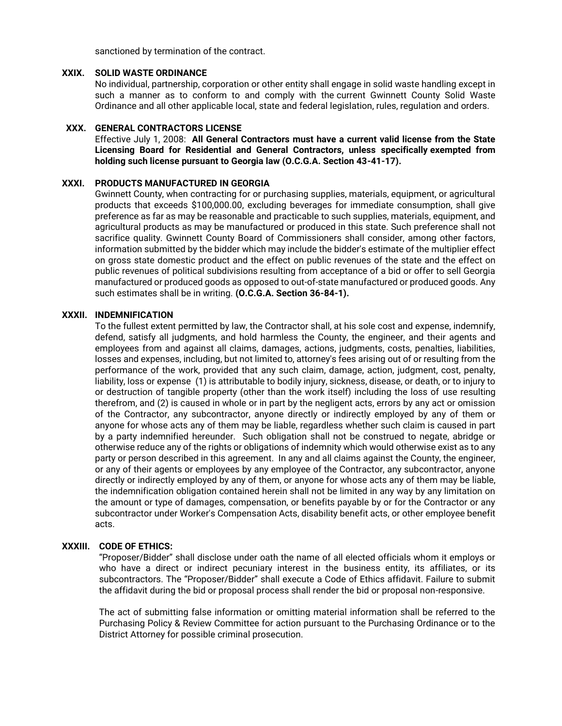sanctioned by termination of the contract.

#### **XXIX. SOLID WASTE ORDINANCE**

No individual, partnership, corporation or other entity shall engage in solid waste handling except in such a manner as to conform to and comply with the current Gwinnett County Solid Waste Ordinance and all other applicable local, state and federal legislation, rules, regulation and orders.

#### **XXX. GENERAL CONTRACTORS LICENSE**

Effective July 1, 2008: **All General Contractors must have a current valid license from the State Licensing Board for Residential and General Contractors, unless specifically exempted from holding such license pursuant to Georgia law (O.C.G.A. Section 43-41-17).**

#### **XXXI. PRODUCTS MANUFACTURED IN GEORGIA**

Gwinnett County, when contracting for or purchasing supplies, materials, equipment, or agricultural products that exceeds \$100,000.00, excluding beverages for immediate consumption, shall give preference as far as may be reasonable and practicable to such supplies, materials, equipment, and agricultural products as may be manufactured or produced in this state. Such preference shall not sacrifice quality. Gwinnett County Board of Commissioners shall consider, among other factors, information submitted by the bidder which may include the bidder's estimate of the multiplier effect on gross state domestic product and the effect on public revenues of the state and the effect on public revenues of political subdivisions resulting from acceptance of a bid or offer to sell Georgia manufactured or produced goods as opposed to out-of-state manufactured or produced goods. Any such estimates shall be in writing. **(O.C.G.A. Section 36-84-1).**

#### **XXXII. INDEMNIFICATION**

To the fullest extent permitted by law, the Contractor shall, at his sole cost and expense, indemnify, defend, satisfy all judgments, and hold harmless the County, the engineer, and their agents and employees from and against all claims, damages, actions, judgments, costs, penalties, liabilities, losses and expenses, including, but not limited to, attorney's fees arising out of or resulting from the performance of the work, provided that any such claim, damage, action, judgment, cost, penalty, liability, loss or expense (1) is attributable to bodily injury, sickness, disease, or death, or to injury to or destruction of tangible property (other than the work itself) including the loss of use resulting therefrom, and (2) is caused in whole or in part by the negligent acts, errors by any act or omission of the Contractor, any subcontractor, anyone directly or indirectly employed by any of them or anyone for whose acts any of them may be liable, regardless whether such claim is caused in part by a party indemnified hereunder. Such obligation shall not be construed to negate, abridge or otherwise reduce any of the rights or obligations of indemnity which would otherwise exist as to any party or person described in this agreement. In any and all claims against the County, the engineer, or any of their agents or employees by any employee of the Contractor, any subcontractor, anyone directly or indirectly employed by any of them, or anyone for whose acts any of them may be liable, the indemnification obligation contained herein shall not be limited in any way by any limitation on the amount or type of damages, compensation, or benefits payable by or for the Contractor or any subcontractor under Worker's Compensation Acts, disability benefit acts, or other employee benefit acts.

#### **XXXIII. CODE OF ETHICS:**

"Proposer/Bidder" shall disclose under oath the name of all elected officials whom it employs or who have a direct or indirect pecuniary interest in the business entity, its affiliates, or its subcontractors. The "Proposer/Bidder" shall execute a Code of Ethics affidavit. Failure to submit the affidavit during the bid or proposal process shall render the bid or proposal non-responsive.

The act of submitting false information or omitting material information shall be referred to the Purchasing Policy & Review Committee for action pursuant to the Purchasing Ordinance or to the District Attorney for possible criminal prosecution.